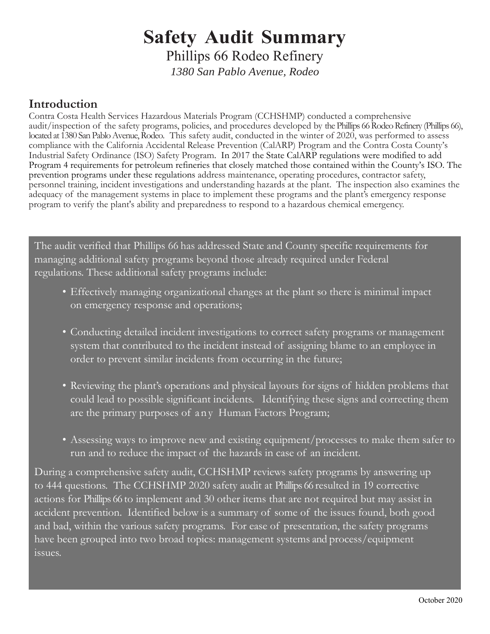# **Safety Audit Summary**

Phillips 66 Rodeo Refinery

*1380 San Pablo Avenue, Rodeo*

### **Introduction**

Contra Costa Health Services Hazardous Materials Program (CCHSHMP) conducted a comprehensive audit/inspection of the safety programs, policies, and procedures developed by the Phillips 66 Rodeo Refinery (Phillips 66), located at 1380 San Pablo Avenue, Rodeo. This safety audit, conducted in the winter of 2020, was performed to assess compliance with the California Accidental Release Prevention (CalARP) Program and the Contra Costa County's Industrial Safety Ordinance (ISO) Safety Program. In 2017 the State CalARP regulations were modified to add Program 4 requirements for petroleum refineries that closely matched those contained within the County's ISO. The prevention programs under these regulations address maintenance, operating procedures, contractor safety, personnel training, incident investigations and understanding hazards at the plant. The inspection also examines the adequacy of the management systems in place to implement these programs and the plant's emergency response program to verify the plant's ability and preparedness to respond to a hazardous chemical emergency.

The audit verified that Phillips 66 has addressed State and County specific requirements for managing additional safety programs beyond those already required under Federal regulations. These additional safety programs include:

- Effectively managing organizational changes at the plant so there is minimal impact on emergency response and operations;
- Conducting detailed incident investigations to correct safety programs or management system that contributed to the incident instead of assigning blame to an employee in order to prevent similar incidents from occurring in the future;
- Reviewing the plant's operations and physical layouts for signs of hidden problems that could lead to possible significant incidents. Identifying these signs and correcting them are the primary purposes of any Human Factors Program;
- Assessing ways to improve new and existing equipment/processes to make them safer to run and to reduce the impact of the hazards in case of an incident.

During a comprehensive safety audit, CCHSHMP reviews safety programs by answering up to 444 questions. The CCHSHMP 2020 safety audit at Phillips 66 resulted in 19 corrective actions for Phillips 66 to implement and 30 other items that are not required but may assist in accident prevention. Identified below is a summary of some of the issues found, both good and bad, within the various safety programs. For ease of presentation, the safety programs have been grouped into two broad topics: management systems and process/equipment issues.